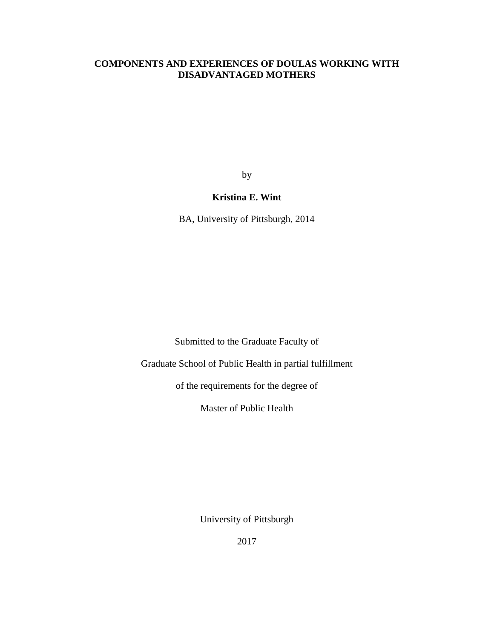### **COMPONENTS AND EXPERIENCES OF DOULAS WORKING WITH DISADVANTAGED MOTHERS**

by

# **Kristina E. Wint**

BA, University of Pittsburgh, 2014

Submitted to the Graduate Faculty of

Graduate School of Public Health in partial fulfillment

of the requirements for the degree of

Master of Public Health

University of Pittsburgh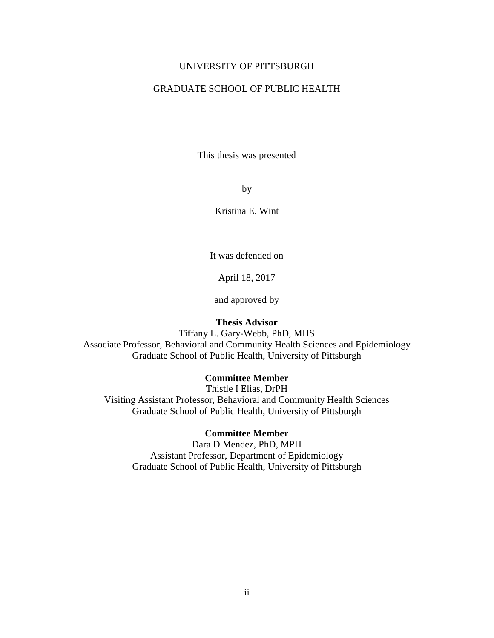### UNIVERSITY OF PITTSBURGH

### GRADUATE SCHOOL OF PUBLIC HEALTH

This thesis was presented

by

Kristina E. Wint

It was defended on

April 18, 2017

and approved by

#### **Thesis Advisor**

Tiffany L. Gary-Webb, PhD, MHS Associate Professor, Behavioral and Community Health Sciences and Epidemiology Graduate School of Public Health, University of Pittsburgh

### **Committee Member**

Thistle I Elias, DrPH Visiting Assistant Professor, Behavioral and Community Health Sciences Graduate School of Public Health, University of Pittsburgh

### **Committee Member**

Dara D Mendez, PhD, MPH Assistant Professor, Department of Epidemiology Graduate School of Public Health, University of Pittsburgh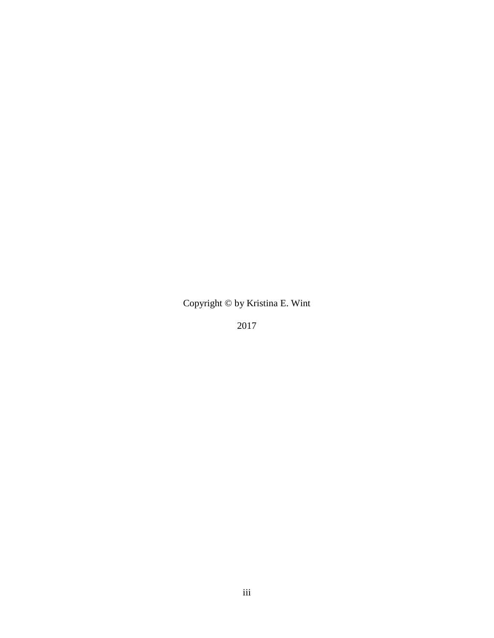Copyright © by Kristina E. Wint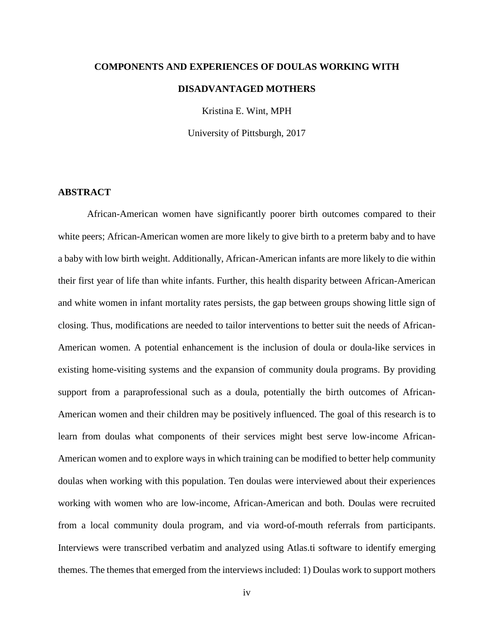# **COMPONENTS AND EXPERIENCES OF DOULAS WORKING WITH DISADVANTAGED MOTHERS**

Kristina E. Wint, MPH

University of Pittsburgh, 2017

### **ABSTRACT**

African-American women have significantly poorer birth outcomes compared to their white peers; African-American women are more likely to give birth to a preterm baby and to have a baby with low birth weight. Additionally, African-American infants are more likely to die within their first year of life than white infants. Further, this health disparity between African-American and white women in infant mortality rates persists, the gap between groups showing little sign of closing. Thus, modifications are needed to tailor interventions to better suit the needs of African-American women. A potential enhancement is the inclusion of doula or doula-like services in existing home-visiting systems and the expansion of community doula programs. By providing support from a paraprofessional such as a doula, potentially the birth outcomes of African-American women and their children may be positively influenced. The goal of this research is to learn from doulas what components of their services might best serve low-income African-American women and to explore ways in which training can be modified to better help community doulas when working with this population. Ten doulas were interviewed about their experiences working with women who are low-income, African-American and both. Doulas were recruited from a local community doula program, and via word-of-mouth referrals from participants. Interviews were transcribed verbatim and analyzed using Atlas.ti software to identify emerging themes. The themes that emerged from the interviews included: 1) Doulas work to support mothers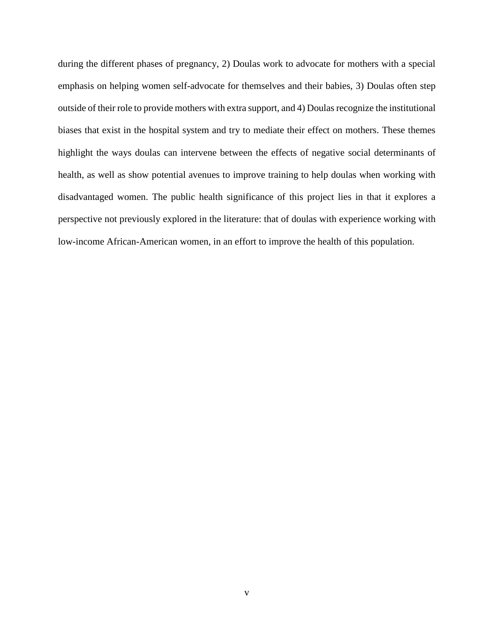during the different phases of pregnancy, 2) Doulas work to advocate for mothers with a special emphasis on helping women self-advocate for themselves and their babies, 3) Doulas often step outside of their role to provide mothers with extra support, and 4) Doulas recognize the institutional biases that exist in the hospital system and try to mediate their effect on mothers. These themes highlight the ways doulas can intervene between the effects of negative social determinants of health, as well as show potential avenues to improve training to help doulas when working with disadvantaged women. The public health significance of this project lies in that it explores a perspective not previously explored in the literature: that of doulas with experience working with low-income African-American women, in an effort to improve the health of this population.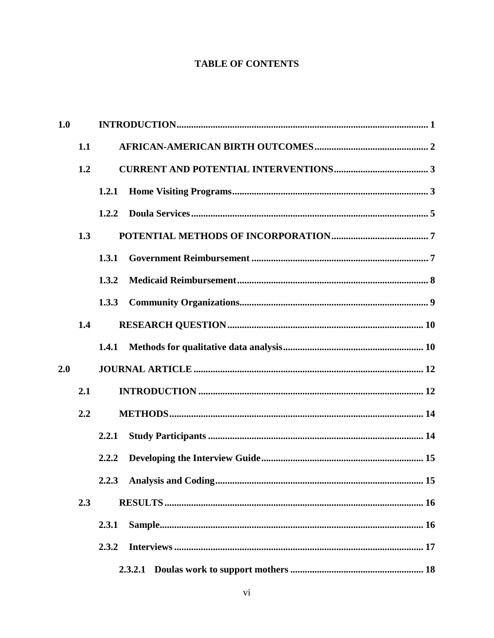# **TABLE OF CONTENTS**

| 1.0 |              |       |         |  |
|-----|--------------|-------|---------|--|
|     | 1.1          |       |         |  |
|     | 1.2          |       |         |  |
|     |              | 1.2.1 |         |  |
|     | 1.2.2<br>1.3 |       |         |  |
|     |              |       |         |  |
|     |              | 1.3.1 |         |  |
|     |              | 1.3.2 |         |  |
|     |              | 1.3.3 |         |  |
| 1.4 |              |       |         |  |
|     |              | 1.4.1 |         |  |
| 2.0 |              |       |         |  |
|     | 2.1          |       |         |  |
| 2.2 |              |       |         |  |
|     |              | 2.2.1 |         |  |
|     |              | 2.2.2 |         |  |
|     |              |       |         |  |
|     | 2.3          |       |         |  |
|     |              | 2.3.1 |         |  |
|     |              | 2.3.2 |         |  |
|     |              |       | 2.3.2.1 |  |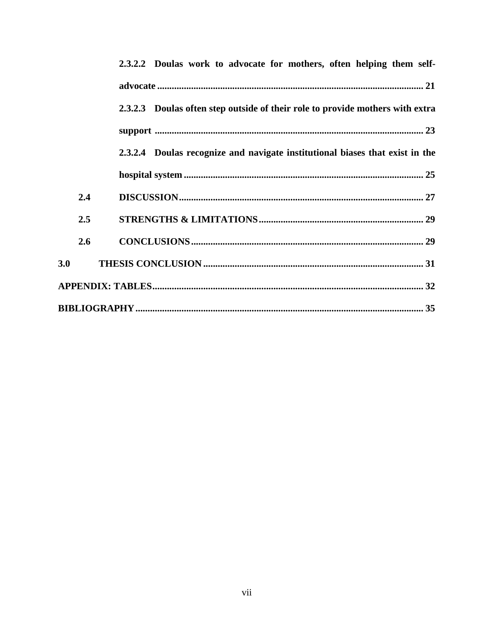|     | 2.3.2.2 Doulas work to advocate for mothers, often helping them self-         |  |  |  |
|-----|-------------------------------------------------------------------------------|--|--|--|
|     |                                                                               |  |  |  |
|     | 2.3.2.3 Doulas often step outside of their role to provide mothers with extra |  |  |  |
|     |                                                                               |  |  |  |
|     | 2.3.2.4 Doulas recognize and navigate institutional biases that exist in the  |  |  |  |
|     |                                                                               |  |  |  |
| 2.4 |                                                                               |  |  |  |
| 2.5 |                                                                               |  |  |  |
| 2.6 |                                                                               |  |  |  |
| 3.0 |                                                                               |  |  |  |
|     |                                                                               |  |  |  |
|     |                                                                               |  |  |  |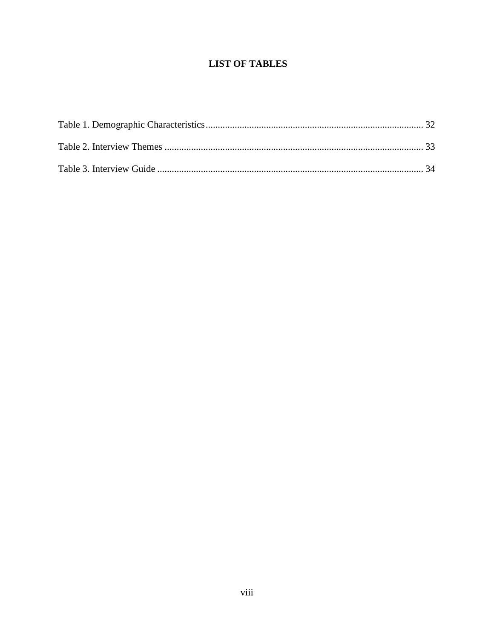# **LIST OF TABLES**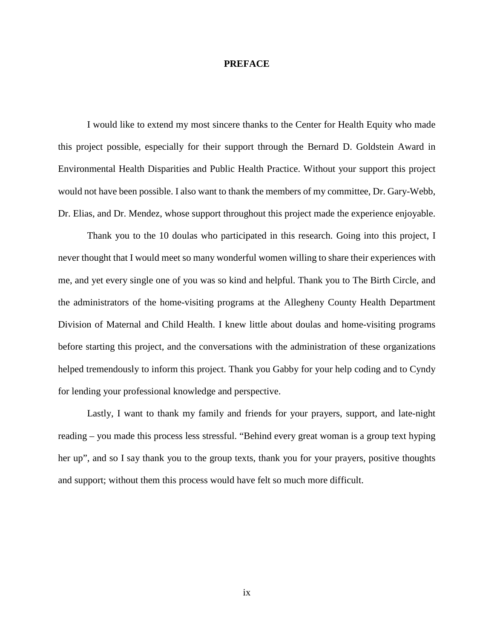### **PREFACE**

I would like to extend my most sincere thanks to the Center for Health Equity who made this project possible, especially for their support through the Bernard D. Goldstein Award in Environmental Health Disparities and Public Health Practice. Without your support this project would not have been possible. I also want to thank the members of my committee, Dr. Gary-Webb, Dr. Elias, and Dr. Mendez, whose support throughout this project made the experience enjoyable.

Thank you to the 10 doulas who participated in this research. Going into this project, I never thought that I would meet so many wonderful women willing to share their experiences with me, and yet every single one of you was so kind and helpful. Thank you to The Birth Circle, and the administrators of the home-visiting programs at the Allegheny County Health Department Division of Maternal and Child Health. I knew little about doulas and home-visiting programs before starting this project, and the conversations with the administration of these organizations helped tremendously to inform this project. Thank you Gabby for your help coding and to Cyndy for lending your professional knowledge and perspective.

Lastly, I want to thank my family and friends for your prayers, support, and late-night reading – you made this process less stressful. "Behind every great woman is a group text hyping her up", and so I say thank you to the group texts, thank you for your prayers, positive thoughts and support; without them this process would have felt so much more difficult.

ix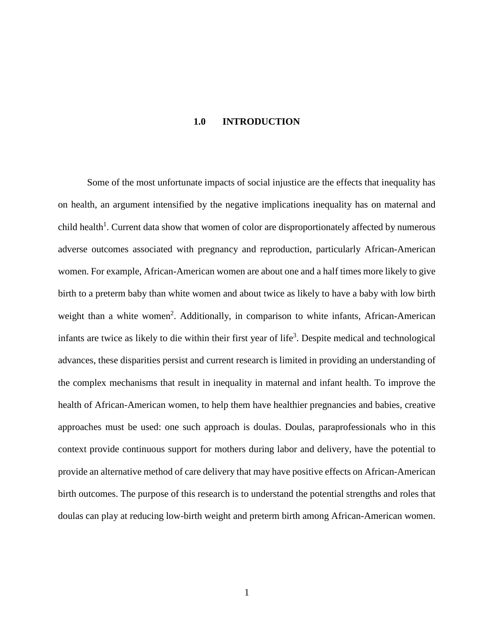### **1.0 INTRODUCTION**

<span id="page-9-0"></span>Some of the most unfortunate impacts of social injustice are the effects that inequality has on health, an argument intensified by the negative implications inequality has on maternal and child health<sup>1</sup>. Current data show that women of color are disproportionately affected by numerous adverse outcomes associated with pregnancy and reproduction, particularly African-American women. For example, African-American women are about one and a half times more likely to give birth to a preterm baby than white women and about twice as likely to have a baby with low birth weight than a white women<sup>2</sup>. Additionally, in comparison to white infants, African-American infants are twice as likely to die within their first year of life<sup>3</sup>. Despite medical and technological advances, these disparities persist and current research is limited in providing an understanding of the complex mechanisms that result in inequality in maternal and infant health. To improve the health of African-American women, to help them have healthier pregnancies and babies, creative approaches must be used: one such approach is doulas. Doulas, paraprofessionals who in this context provide continuous support for mothers during labor and delivery, have the potential to provide an alternative method of care delivery that may have positive effects on African-American birth outcomes. The purpose of this research is to understand the potential strengths and roles that doulas can play at reducing low-birth weight and preterm birth among African-American women.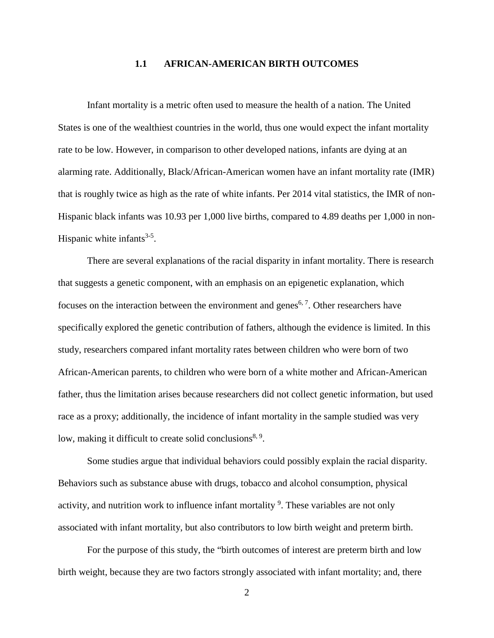#### **1.1 AFRICAN-AMERICAN BIRTH OUTCOMES**

<span id="page-10-0"></span>Infant mortality is a metric often used to measure the health of a nation. The United States is one of the wealthiest countries in the world, thus one would expect the infant mortality rate to be low. However, in comparison to other developed nations, infants are dying at an alarming rate. Additionally, Black/African-American women have an infant mortality rate (IMR) that is roughly twice as high as the rate of white infants. Per 2014 vital statistics, the IMR of non-Hispanic black infants was 10.93 per 1,000 live births, compared to 4.89 deaths per 1,000 in non-Hispanic white infants<sup>[3-5](#page-43-3)</sup>.

There are several explanations of the racial disparity in infant mortality. There is research that suggests a genetic component, with an emphasis on an epigenetic explanation, which focuses on the interaction between the environment and genes<sup>[6,](#page-43-4) [7](#page-43-5)</sup>. Other researchers have specifically explored the genetic contribution of fathers, although the evidence is limited. In this study, researchers compared infant mortality rates between children who were born of two African-American parents, to children who were born of a white mother and African-American father, thus the limitation arises because researchers did not collect genetic information, but used race as a proxy; additionally, the incidence of infant mortality in the sample studied was very low, making it difficult to create solid conclusions<sup>[8,](#page-43-6) 9</sup>[.](#page-43-7)

Some studies argue that individual behaviors could possibly explain the racial disparity. Behaviors such as substance abuse with drugs, tobacco and alcohol consumption, physical activity, and nutrition work to influence infant mortality <sup>9</sup>[.](#page-43-7) These variables are not only associated with infant mortality, but also contributors to low birth weight and preterm birth.

For the purpose of this study, the "birth outcomes of interest are preterm birth and low birth weight, because they are two factors strongly associated with infant mortality; and, there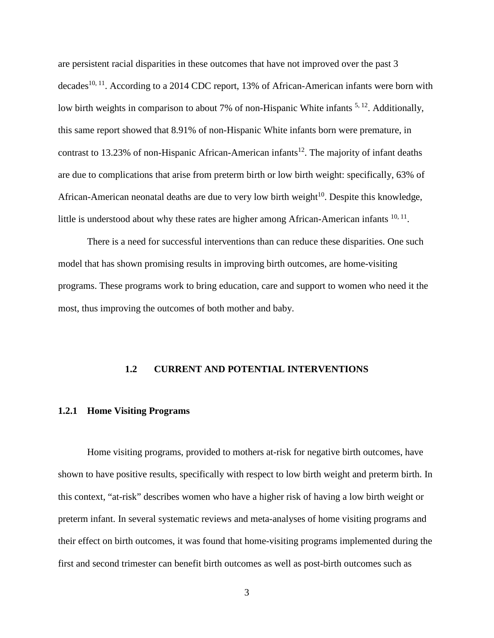are persistent racial disparities in these outcomes that have not improved over the past 3 decades<sup>[10,](#page-43-8) 11</sup>. According to a 2014 CDC report, 13% of African-American infants were born with low birth weights in comparison to about 7% of non-Hispanic White infants <sup>[5,](#page-43-10) 12</sup>. Additionally, this same report showed that 8.91% of non-Hispanic White infants born were premature, in contrast to 13.23% of non-Hispanic African-American infants<sup>12</sup>. The majority of infant deaths are due to complications that arise from preterm birth or low birth weight: specifically, 63% of African-American neonatal deaths are due to very low birth weight $10$ . Despite this knowledge, little is understood about why these rates are higher among African-American infants  $10, 11$  $10, 11$ .

There is a need for successful interventions than can reduce these disparities. One such model that has shown promising results in improving birth outcomes, are home-visiting programs. These programs work to bring education, care and support to women who need it the most, thus improving the outcomes of both mother and baby.

#### <span id="page-11-0"></span>**1.2 CURRENT AND POTENTIAL INTERVENTIONS**

### <span id="page-11-1"></span>**1.2.1 Home Visiting Programs**

Home visiting programs, provided to mothers at-risk for negative birth outcomes, have shown to have positive results, specifically with respect to low birth weight and preterm birth. In this context, "at-risk" describes women who have a higher risk of having a low birth weight or preterm infant. In several systematic reviews and meta-analyses of home visiting programs and their effect on birth outcomes, it was found that home-visiting programs implemented during the first and second trimester can benefit birth outcomes as well as post-birth outcomes such as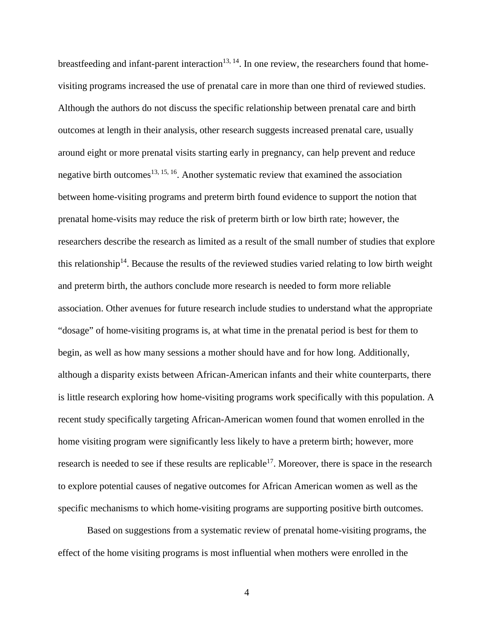breastfeeding and infant-parent interaction<sup>13, 14</sup>. In one review, the researchers found that homevisiting programs increased the use of prenatal care in more than one third of reviewed studies. Although the authors do not discuss the specific relationship between prenatal care and birth outcomes at length in their analysis, other research suggests increased prenatal care, usually around eight or more prenatal visits starting early in pregnancy, can help prevent and reduce negative birth outcomes<sup>[13,](#page-43-12) [15,](#page-43-14) 16</sup>. Another systematic review that examined the association between home-visiting programs and preterm birth found evidence to support the notion that prenatal home-visits may reduce the risk of preterm birth or low birth rate; however, the researchers describe the research as limited as a result of the small number of studies that explore this relationship<sup>14</sup>. Because the results of the reviewed studies varied relating to low birth weight and preterm birth, the authors conclude more research is needed to form more reliable association. Other avenues for future research include studies to understand what the appropriate "dosage" of home-visiting programs is, at what time in the prenatal period is best for them to begin, as well as how many sessions a mother should have and for how long. Additionally, although a disparity exists between African-American infants and their white counterparts, there is little research exploring how home-visiting programs work specifically with this population. A recent study specifically targeting African-American women found that women enrolled in the home visiting program were significantly less likely to have a preterm birth; however, more research is needed to see if these results are replicable<sup>17</sup>. Moreover, there is space in the research to explore potential causes of negative outcomes for African American women as well as the specific mechanisms to which home-visiting programs are supporting positive birth outcomes.

Based on suggestions from a systematic review of prenatal home-visiting programs, the effect of the home visiting programs is most influential when mothers were enrolled in the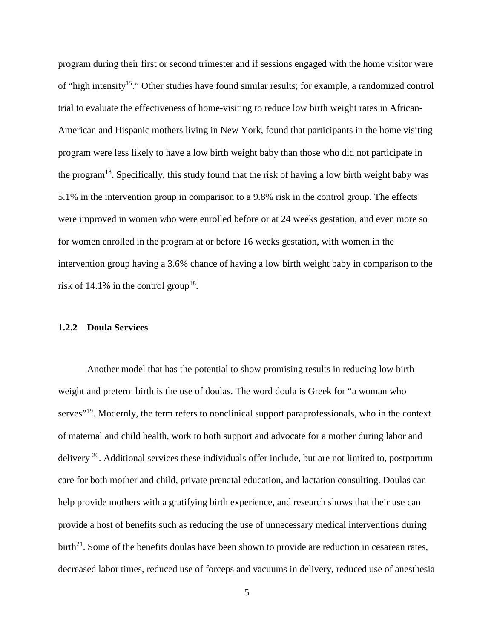program during their first or second trimester and if sessions engaged with the home visitor were of "high intensity<sup>15</sup>." Other studies have found similar results; for example, a randomized control trial to evaluate the effectiveness of home-visiting to reduce low birth weight rates in African-American and Hispanic mothers living in New York, found that participants in the home visiting program were less likely to have a low birth weight baby than those who did not participate in the program<sup>18</sup>. Specifically, this study found that the risk of having a low birth weight baby was 5.1% in the intervention group in comparison to a 9.8% risk in the control group. The effects were improved in women who were enrolled before or at 24 weeks gestation, and even more so for women enrolled in the program at or before 16 weeks gestation, with women in the intervention group having a 3.6% chance of having a low birth weight baby in comparison to the risk of 14.1% in the control group<sup>18</sup>.

### <span id="page-13-0"></span>**1.2.2 Doula Services**

Another model that has the potential to show promising results in reducing low birth weight and preterm birth is the use of doulas. The word doula is Greek for "a woman who serves<sup>"19</sup>. Modernly, the term refers to nonclinical support paraprofessionals, who in the context of maternal and child health, work to both support and advocate for a mother during labor and delivery  $^{20}$ . Additional services these individuals offer include, but are not limited to, postpartum care for both mother and child, private prenatal education, and lactation consulting. Doulas can help provide mothers with a gratifying birth experience, and research shows that their use can provide a host of benefits such as reducing the use of unnecessary medical interventions during  $birth<sup>21</sup>$ . Some of the benefits doulas have been shown to provide are reduction in cesarean rates, decreased labor times, reduced use of forceps and vacuums in delivery, reduced use of anesthesia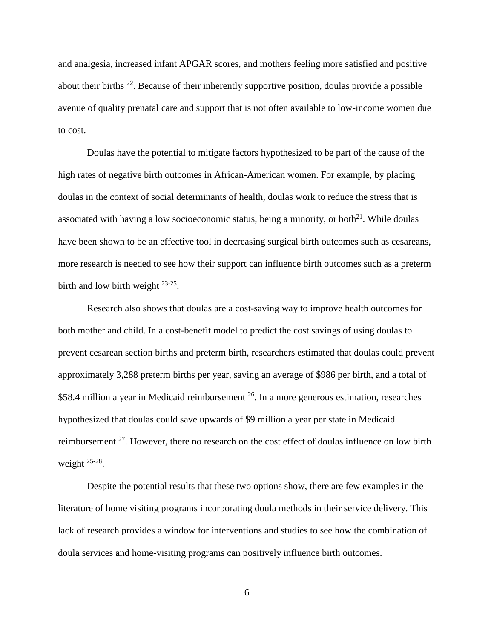and analgesia, increased infant APGAR scores, and mothers feeling more satisfied and positive about their births [22.](#page-44-5) Because of their inherently supportive position, doulas provide a possible avenue of quality prenatal care and support that is not often available to low-income women due to cost.

Doulas have the potential to mitigate factors hypothesized to be part of the cause of the high rates of negative birth outcomes in African-American women. For example, by placing doulas in the context of social determinants of health, doulas work to reduce the stress that is associated with having a low socioeconomic status, being a minority, or both $^{21}$ . While doulas have been shown to be an effective tool in decreasing surgical birth outcomes such as cesareans, more research is needed to see how their support can influence birth outcomes such as a preterm birth and low birth weight  $23-25$ .

Research also shows that doulas are a cost-saving way to improve health outcomes for both mother and child. In a cost-benefit model to predict the cost savings of using doulas to prevent cesarean section births and preterm birth, researchers estimated that doulas could prevent approximately 3,288 preterm births per year, saving an average of \$986 per birth, and a total of \$58.4 million a year in Medicaid reimbursement <sup>26</sup>. In a more generous estimation, researches hypothesized that doulas could save upwards of \$9 million a year per state in Medicaid reimbursement <sup>27</sup>. However, there no research on the cost effect of doulas influence on low birth weight [25-28.](#page-44-9)

Despite the potential results that these two options show, there are few examples in the literature of home visiting programs incorporating doula methods in their service delivery. This lack of research provides a window for interventions and studies to see how the combination of doula services and home-visiting programs can positively influence birth outcomes.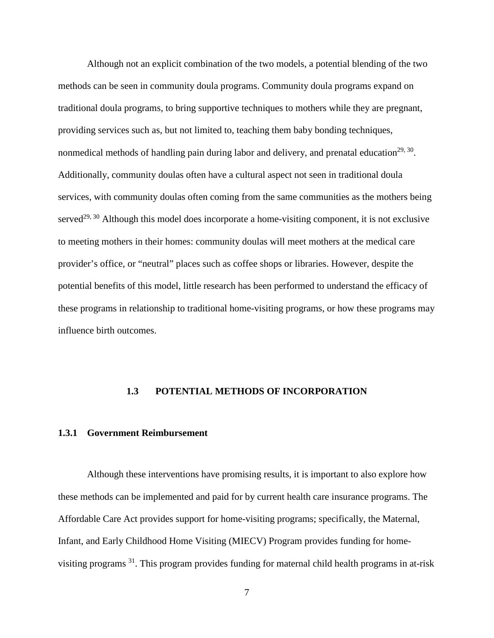Although not an explicit combination of the two models, a potential blending of the two methods can be seen in community doula programs. Community doula programs expand on traditional doula programs, to bring supportive techniques to mothers while they are pregnant, providing services such as, but not limited to, teaching them baby bonding techniques, nonmedical methods of handling pain during labor and delivery, and prenatal education<sup>[29,](#page-44-10) 30</sup>. Additionally, community doulas often have a cultural aspect not seen in traditional doula services, with community doulas often coming from the same communities as the mothers being served<sup>29, [30](#page-44-11)</sup> Although this model does incorporate a home-visiting component, it is not exclusive to meeting mothers in their homes: community doulas will meet mothers at the medical care provider's office, or "neutral" places such as coffee shops or libraries. However, despite the potential benefits of this model, little research has been performed to understand the efficacy of these programs in relationship to traditional home-visiting programs, or how these programs may influence birth outcomes.

### <span id="page-15-0"></span>**1.3 POTENTIAL METHODS OF INCORPORATION**

#### <span id="page-15-1"></span>**1.3.1 Government Reimbursement**

Although these interventions have promising results, it is important to also explore how these methods can be implemented and paid for by current health care insurance programs. The Affordable Care Act provides support for home-visiting programs; specifically, the Maternal, Infant, and Early Childhood Home Visiting (MIECV) Program provides funding for homevisiting programs [31.](#page-44-12) This program provides funding for maternal child health programs in at-risk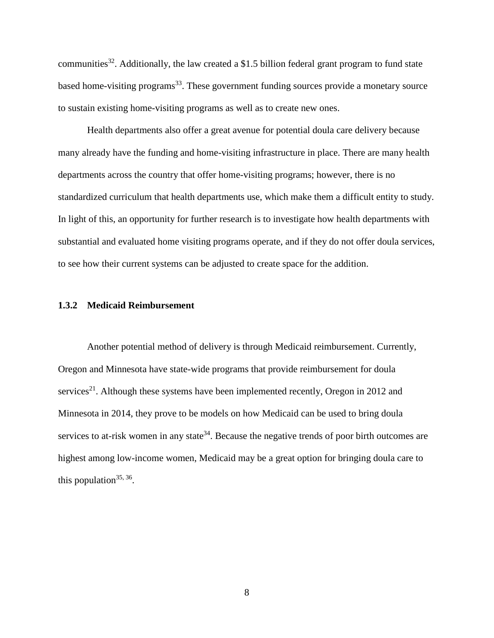communities<sup>32</sup>. Additionally, the law created a \$1.5 billion federal grant program to fund state based home-visiting programs<sup>33</sup>. These government funding sources provide a monetary source to sustain existing home-visiting programs as well as to create new ones.

Health departments also offer a great avenue for potential doula care delivery because many already have the funding and home-visiting infrastructure in place. There are many health departments across the country that offer home-visiting programs; however, there is no standardized curriculum that health departments use, which make them a difficult entity to study. In light of this, an opportunity for further research is to investigate how health departments with substantial and evaluated home visiting programs operate, and if they do not offer doula services, to see how their current systems can be adjusted to create space for the addition.

### <span id="page-16-0"></span>**1.3.2 Medicaid Reimbursement**

Another potential method of delivery is through Medicaid reimbursement. Currently, Oregon and Minnesota have state-wide programs that provide reimbursement for doula services<sup>21</sup>. Although these systems have been implemented recently, Oregon in 2012 and Minnesota in 2014, they prove to be models on how Medicaid can be used to bring doula services to at-risk women in any state<sup>34</sup>. Because the negative trends of poor birth outcomes are highest among low-income women, Medicaid may be a great option for bringing doula care to this population<sup>35, 36</sup>.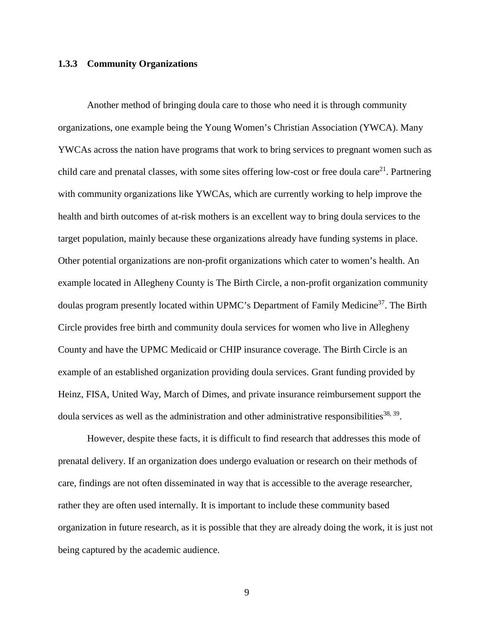### <span id="page-17-0"></span>**1.3.3 Community Organizations**

Another method of bringing doula care to those who need it is through community organizations, one example being the Young Women's Christian Association (YWCA). Many YWCAs across the nation have programs that work to bring services to pregnant women such as child care and prenatal classes, with some sites offering low-cost or free doula care<sup>21</sup>. Partnering with community organizations like YWCAs, which are currently working to help improve the health and birth outcomes of at-risk mothers is an excellent way to bring doula services to the target population, mainly because these organizations already have funding systems in place. Other potential organizations are non-profit organizations which cater to women's health. An example located in Allegheny County is The Birth Circle, a non-profit organization community doulas program presently located within UPMC's Department of Family Medicine<sup>37</sup>. The Birth Circle provides free birth and community doula services for women who live in Allegheny County and have the UPMC Medicaid or CHIP insurance coverage. The Birth Circle is an example of an established organization providing doula services. Grant funding provided by Heinz, FISA, United Way, March of Dimes, and private insurance reimbursement support the doula services as well as the administration and other administrative responsibilities<sup>38, 39</sup>.

However, despite these facts, it is difficult to find research that addresses this mode of prenatal delivery. If an organization does undergo evaluation or research on their methods of care, findings are not often disseminated in way that is accessible to the average researcher, rather they are often used internally. It is important to include these community based organization in future research, as it is possible that they are already doing the work, it is just not being captured by the academic audience.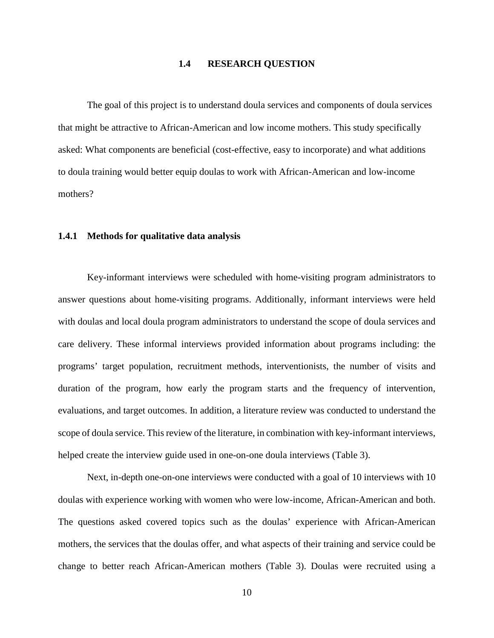### **1.4 RESEARCH QUESTION**

<span id="page-18-0"></span>The goal of this project is to understand doula services and components of doula services that might be attractive to African-American and low income mothers. This study specifically asked: What components are beneficial (cost-effective, easy to incorporate) and what additions to doula training would better equip doulas to work with African-American and low-income mothers?

#### <span id="page-18-1"></span>**1.4.1 Methods for qualitative data analysis**

Key-informant interviews were scheduled with home-visiting program administrators to answer questions about home-visiting programs. Additionally, informant interviews were held with doulas and local doula program administrators to understand the scope of doula services and care delivery. These informal interviews provided information about programs including: the programs' target population, recruitment methods, interventionists, the number of visits and duration of the program, how early the program starts and the frequency of intervention, evaluations, and target outcomes. In addition, a literature review was conducted to understand the scope of doula service. This review of the literature, in combination with key-informant interviews, helped create the interview guide used in one-on-one doula interviews (Table 3).

Next, in-depth one-on-one interviews were conducted with a goal of 10 interviews with 10 doulas with experience working with women who were low-income, African-American and both. The questions asked covered topics such as the doulas' experience with African-American mothers, the services that the doulas offer, and what aspects of their training and service could be change to better reach African-American mothers (Table 3). Doulas were recruited using a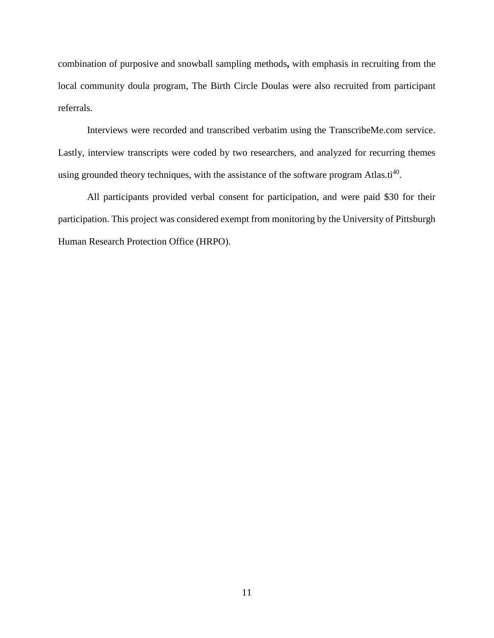combination of purposive and snowball sampling methods**,** with emphasis in recruiting from the local community doula program, The Birth Circle Doulas were also recruited from participant referrals.

Interviews were recorded and transcribed verbatim using the TranscribeMe.com service. Lastly, interview transcripts were coded by two researchers, and analyzed for recurring themes using grounded theory techniques, with the assistance of the software program Atlas.ti<sup>40</sup>.

All participants provided verbal consent for participation, and were paid \$30 for their participation. This project was considered exempt from monitoring by the University of Pittsburgh Human Research Protection Office (HRPO).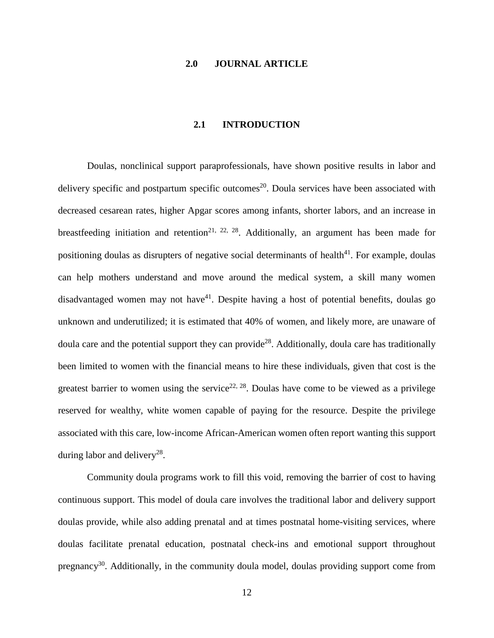### **2.0 JOURNAL ARTICLE**

### **2.1 INTRODUCTION**

<span id="page-20-1"></span><span id="page-20-0"></span>Doulas, nonclinical support paraprofessionals, have shown positive results in labor and delivery specific and postpartum specific outcomes<sup>20</sup>. Doula services have been associated with decreased cesarean rates, higher Apgar scores among infants, shorter labors, and an increase in breastfeeding initiation and retention<sup>[21,](#page-44-4) [22,](#page-44-5) 28</sup>. Additionally, an argument has been made for positioning doulas as disrupters of negative social determinants of health<sup>41</sup>. For example, doulas can help mothers understand and move around the medical system, a skill many women disadvantaged women may not have<sup>41</sup>. Despite having a host of potential benefits, doulas go unknown and underutilized; it is estimated that 40% of women, and likely more, are unaware of doula care and the potential support they can provid[e28.](#page-44-15) Additionally, doula care has traditionally been limited to women with the financial means to hire these individuals, given that cost is the greatest barrier to women using the service<sup>22, 28</sup>. Doulas have come to be viewed as a privilege reserved for wealthy, white women capable of paying for the resource. Despite the privilege associated with this care, low-income African-American women often report wanting this support during labor and delivery<sup>28</sup>.

Community doula programs work to fill this void, removing the barrier of cost to having continuous support. This model of doula care involves the traditional labor and delivery support doulas provide, while also adding prenatal and at times postnatal home-visiting services, where doulas facilitate prenatal education, postnatal check-ins and emotional support throughout pregnancy<sup>30</sup>. Additionally, in the community doula model, doulas providing support come from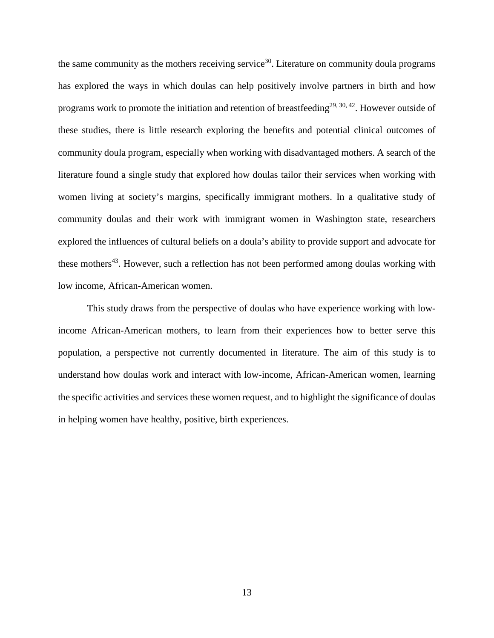the same community as the mothers receiving service<sup>30</sup>. Literature on community doula programs has explored the ways in which doulas can help positively involve partners in birth and how programs work to promote the initiation and retention of breastfeeding<sup>29, [30,](#page-44-11) 42</sup>. However outside of these studies, there is little research exploring the benefits and potential clinical outcomes of community doula program, especially when working with disadvantaged mothers. A search of the literature found a single study that explored how doulas tailor their services when working with women living at society's margins, specifically immigrant mothers. In a qualitative study of community doulas and their work with immigrant women in Washington state, researchers explored the influences of cultural beliefs on a doula's ability to provide support and advocate for these mothers<sup>43</sup>. However, such a reflection has not been performed among doulas working with low income, African-American women.

This study draws from the perspective of doulas who have experience working with lowincome African-American mothers, to learn from their experiences how to better serve this population, a perspective not currently documented in literature. The aim of this study is to understand how doulas work and interact with low-income, African-American women, learning the specific activities and services these women request, and to highlight the significance of doulas in helping women have healthy, positive, birth experiences.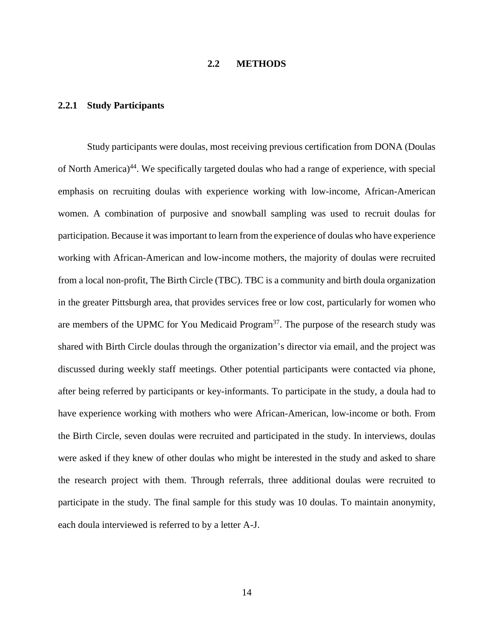### **2.2 METHODS**

### <span id="page-22-1"></span><span id="page-22-0"></span>**2.2.1 Study Participants**

Study participants were doulas, most receiving previous certification from DONA (Doulas of North America)<sup>44</sup>. We specifically targeted doulas who had a range of experience, with special emphasis on recruiting doulas with experience working with low-income, African-American women. A combination of purposive and snowball sampling was used to recruit doulas for participation. Because it was important to learn from the experience of doulas who have experience working with African-American and low-income mothers, the majority of doulas were recruited from a local non-profit, The Birth Circle (TBC). TBC is a community and birth doula organization in the greater Pittsburgh area, that provides services free or low cost, particularly for women who are members of the UPMC for You Medicaid Program<sup>37</sup>. The purpose of the research study was shared with Birth Circle doulas through the organization's director via email, and the project was discussed during weekly staff meetings. Other potential participants were contacted via phone, after being referred by participants or key-informants. To participate in the study, a doula had to have experience working with mothers who were African-American, low-income or both. From the Birth Circle, seven doulas were recruited and participated in the study. In interviews, doulas were asked if they knew of other doulas who might be interested in the study and asked to share the research project with them. Through referrals, three additional doulas were recruited to participate in the study. The final sample for this study was 10 doulas. To maintain anonymity, each doula interviewed is referred to by a letter A-J.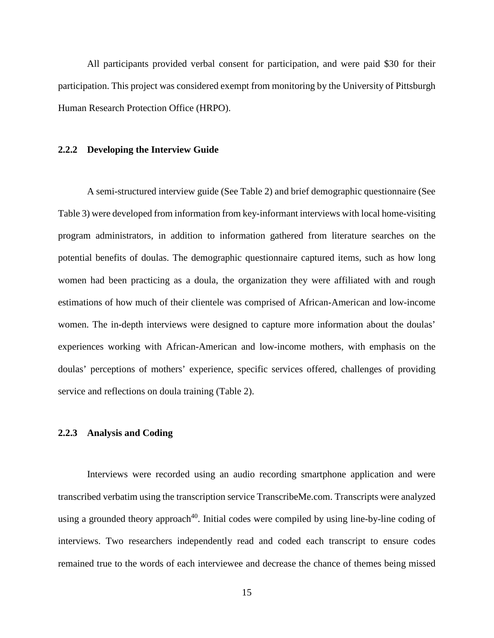All participants provided verbal consent for participation, and were paid \$30 for their participation. This project was considered exempt from monitoring by the University of Pittsburgh Human Research Protection Office (HRPO).

#### <span id="page-23-0"></span>**2.2.2 Developing the Interview Guide**

A semi-structured interview guide (See Table 2) and brief demographic questionnaire (See Table 3) were developed from information from key-informant interviews with local home-visiting program administrators, in addition to information gathered from literature searches on the potential benefits of doulas. The demographic questionnaire captured items, such as how long women had been practicing as a doula, the organization they were affiliated with and rough estimations of how much of their clientele was comprised of African-American and low-income women. The in-depth interviews were designed to capture more information about the doulas' experiences working with African-American and low-income mothers, with emphasis on the doulas' perceptions of mothers' experience, specific services offered, challenges of providing service and reflections on doula training (Table 2).

### <span id="page-23-1"></span>**2.2.3 Analysis and Coding**

Interviews were recorded using an audio recording smartphone application and were transcribed verbatim using the transcription service TranscribeMe.com. Transcripts were analyzed using a grounded theory approach<sup>40</sup>. Initial codes were compiled by using line-by-line coding of interviews. Two researchers independently read and coded each transcript to ensure codes remained true to the words of each interviewee and decrease the chance of themes being missed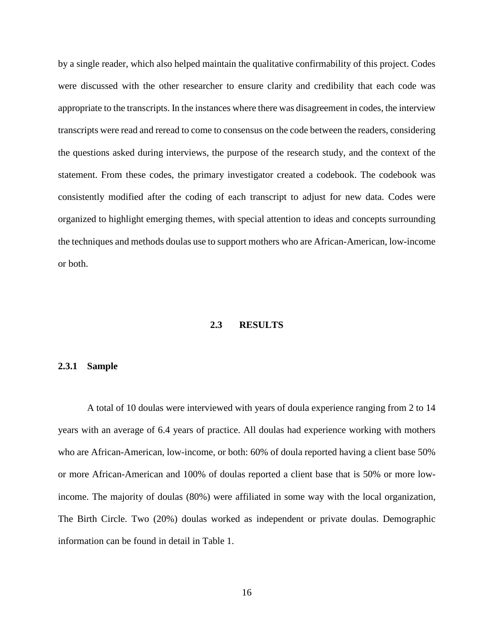by a single reader, which also helped maintain the qualitative confirmability of this project. Codes were discussed with the other researcher to ensure clarity and credibility that each code was appropriate to the transcripts. In the instances where there was disagreement in codes, the interview transcripts were read and reread to come to consensus on the code between the readers, considering the questions asked during interviews, the purpose of the research study, and the context of the statement. From these codes, the primary investigator created a codebook. The codebook was consistently modified after the coding of each transcript to adjust for new data. Codes were organized to highlight emerging themes, with special attention to ideas and concepts surrounding the techniques and methods doulas use to support mothers who are African-American, low-income or both.

### **2.3 RESULTS**

#### <span id="page-24-1"></span><span id="page-24-0"></span>**2.3.1 Sample**

A total of 10 doulas were interviewed with years of doula experience ranging from 2 to 14 years with an average of 6.4 years of practice. All doulas had experience working with mothers who are African-American, low-income, or both: 60% of doula reported having a client base 50% or more African-American and 100% of doulas reported a client base that is 50% or more lowincome. The majority of doulas (80%) were affiliated in some way with the local organization, The Birth Circle. Two (20%) doulas worked as independent or private doulas. Demographic information can be found in detail in Table 1.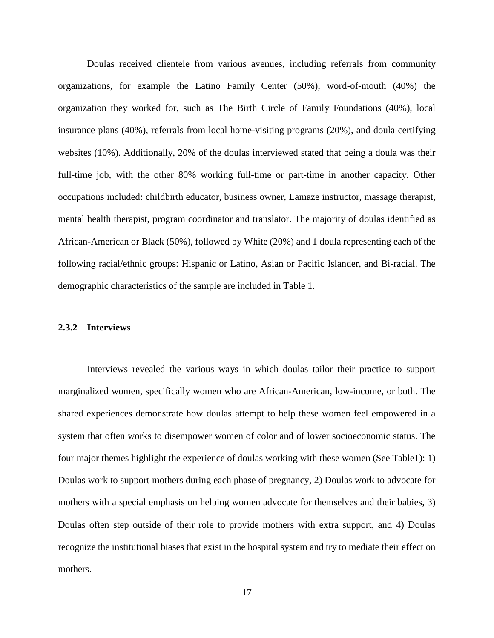Doulas received clientele from various avenues, including referrals from community organizations, for example the Latino Family Center (50%), word-of-mouth (40%) the organization they worked for, such as The Birth Circle of Family Foundations (40%), local insurance plans (40%), referrals from local home-visiting programs (20%), and doula certifying websites (10%). Additionally, 20% of the doulas interviewed stated that being a doula was their full-time job, with the other 80% working full-time or part-time in another capacity. Other occupations included: childbirth educator, business owner, Lamaze instructor, massage therapist, mental health therapist, program coordinator and translator. The majority of doulas identified as African-American or Black (50%), followed by White (20%) and 1 doula representing each of the following racial/ethnic groups: Hispanic or Latino, Asian or Pacific Islander, and Bi-racial. The demographic characteristics of the sample are included in Table 1.

### <span id="page-25-0"></span>**2.3.2 Interviews**

Interviews revealed the various ways in which doulas tailor their practice to support marginalized women, specifically women who are African-American, low-income, or both. The shared experiences demonstrate how doulas attempt to help these women feel empowered in a system that often works to disempower women of color and of lower socioeconomic status. The four major themes highlight the experience of doulas working with these women (See Table1): 1) Doulas work to support mothers during each phase of pregnancy, 2) Doulas work to advocate for mothers with a special emphasis on helping women advocate for themselves and their babies, 3) Doulas often step outside of their role to provide mothers with extra support, and 4) Doulas recognize the institutional biases that exist in the hospital system and try to mediate their effect on mothers.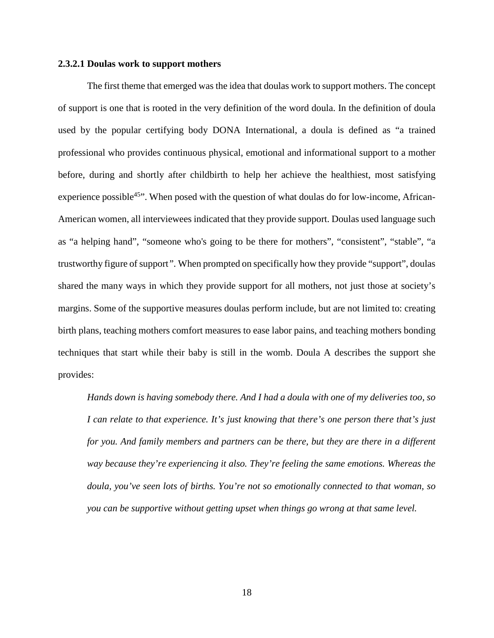### <span id="page-26-0"></span>**2.3.2.1 Doulas work to support mothers**

The first theme that emerged was the idea that doulas work to support mothers. The concept of support is one that is rooted in the very definition of the word doula. In the definition of doula used by the popular certifying body DONA International, a doula is defined as "a trained professional who provides continuous physical, emotional and informational support to a mother before, during and shortly after childbirth to help her achieve the healthiest, most satisfying experience possible<sup>45"</sup>. When posed with the question of what doulas do for low-income, African-American women, all interviewees indicated that they provide support. Doulas used language such as "a helping hand", "someone who's going to be there for mothers", "consistent", "stable", "a trustworthy figure of support*".* When prompted on specifically how they provide "support", doulas shared the many ways in which they provide support for all mothers, not just those at society's margins. Some of the supportive measures doulas perform include, but are not limited to: creating birth plans, teaching mothers comfort measures to ease labor pains, and teaching mothers bonding techniques that start while their baby is still in the womb. Doula A describes the support she provides:

*Hands down is having somebody there. And I had a doula with one of my deliveries too, so I can relate to that experience. It's just knowing that there's one person there that's just for you. And family members and partners can be there, but they are there in a different way because they're experiencing it also. They're feeling the same emotions. Whereas the doula, you've seen lots of births. You're not so emotionally connected to that woman, so you can be supportive without getting upset when things go wrong at that same level.*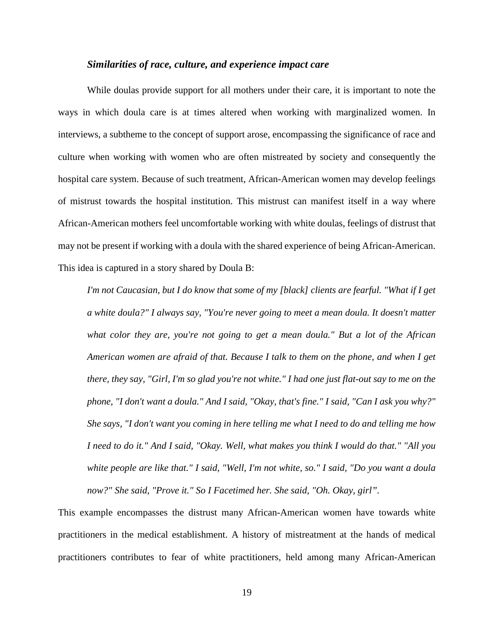### *Similarities of race, culture, and experience impact care*

While doulas provide support for all mothers under their care, it is important to note the ways in which doula care is at times altered when working with marginalized women. In interviews, a subtheme to the concept of support arose, encompassing the significance of race and culture when working with women who are often mistreated by society and consequently the hospital care system. Because of such treatment, African-American women may develop feelings of mistrust towards the hospital institution. This mistrust can manifest itself in a way where African-American mothers feel uncomfortable working with white doulas, feelings of distrust that may not be present if working with a doula with the shared experience of being African-American. This idea is captured in a story shared by Doula B:

*I'm not Caucasian, but I do know that some of my [black] clients are fearful. "What if I get a white doula?" I always say, "You're never going to meet a mean doula. It doesn't matter what color they are, you're not going to get a mean doula." But a lot of the African American women are afraid of that. Because I talk to them on the phone, and when I get there, they say, "Girl, I'm so glad you're not white." I had one just flat-out say to me on the phone, "I don't want a doula." And I said, "Okay, that's fine." I said, "Can I ask you why?" She says, "I don't want you coming in here telling me what I need to do and telling me how I need to do it." And I said, "Okay. Well, what makes you think I would do that." "All you white people are like that." I said, "Well, I'm not white, so." I said, "Do you want a doula now?" She said, "Prove it." So I Facetimed her. She said, "Oh. Okay, girl".*

This example encompasses the distrust many African-American women have towards white practitioners in the medical establishment. A history of mistreatment at the hands of medical practitioners contributes to fear of white practitioners, held among many African-American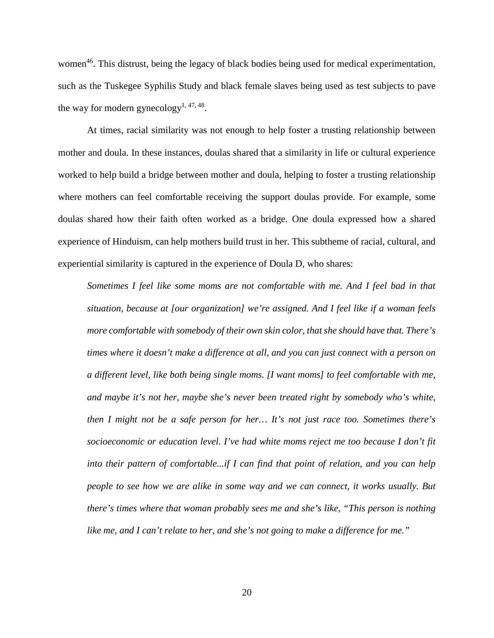women<sup>46</sup>. This distrust, being the legacy of black bodies being used for medical experimentation, such as the Tuskegee Syphilis Study and black female slaves being used as test subjects to pave the way for modern gynecology<sup>1, [47,](#page-45-13) 48</sup>.

At times, racial similarity was not enough to help foster a trusting relationship between mother and doula. In these instances, doulas shared that a similarity in life or cultural experience worked to help build a bridge between mother and doula, helping to foster a trusting relationship where mothers can feel comfortable receiving the support doulas provide. For example, some doulas shared how their faith often worked as a bridge. One doula expressed how a shared experience of Hinduism, can help mothers build trust in her. This subtheme of racial, cultural, and experiential similarity is captured in the experience of Doula D, who shares:

*Sometimes I feel like some moms are not comfortable with me. And I feel bad in that situation, because at [our organization] we're assigned. And I feel like if a woman feels more comfortable with somebody of their own skin color, that she should have that. There's times where it doesn't make a difference at all, and you can just connect with a person on a different level, like both being single moms. [I want moms] to feel comfortable with me, and maybe it's not her, maybe she's never been treated right by somebody who's white, then I might not be a safe person for her… It's not just race too. Sometimes there's socioeconomic or education level. I've had white moms reject me too because I don't fit into their pattern of comfortable...if I can find that point of relation, and you can help people to see how we are alike in some way and we can connect, it works usually. But there's times where that woman probably sees me and she's like, "This person is nothing like me, and I can't relate to her, and she's not going to make a difference for me."*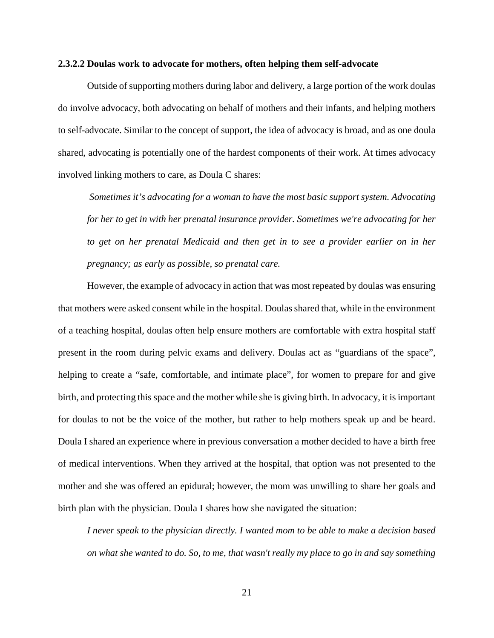#### <span id="page-29-0"></span>**2.3.2.2 Doulas work to advocate for mothers, often helping them self-advocate**

Outside of supporting mothers during labor and delivery, a large portion of the work doulas do involve advocacy, both advocating on behalf of mothers and their infants, and helping mothers to self-advocate. Similar to the concept of support, the idea of advocacy is broad, and as one doula shared, advocating is potentially one of the hardest components of their work. At times advocacy involved linking mothers to care, as Doula C shares:

*Sometimes it's advocating for a woman to have the most basic support system. Advocating for her to get in with her prenatal insurance provider. Sometimes we're advocating for her to get on her prenatal Medicaid and then get in to see a provider earlier on in her pregnancy; as early as possible, so prenatal care.*

However, the example of advocacy in action that was most repeated by doulas was ensuring that mothers were asked consent while in the hospital. Doulas shared that, while in the environment of a teaching hospital, doulas often help ensure mothers are comfortable with extra hospital staff present in the room during pelvic exams and delivery. Doulas act as "guardians of the space", helping to create a "safe, comfortable, and intimate place", for women to prepare for and give birth, and protecting this space and the mother while she is giving birth. In advocacy, it is important for doulas to not be the voice of the mother, but rather to help mothers speak up and be heard. Doula I shared an experience where in previous conversation a mother decided to have a birth free of medical interventions. When they arrived at the hospital, that option was not presented to the mother and she was offered an epidural; however, the mom was unwilling to share her goals and birth plan with the physician. Doula I shares how she navigated the situation:

*I never speak to the physician directly. I wanted mom to be able to make a decision based on what she wanted to do. So, to me, that wasn't really my place to go in and say something*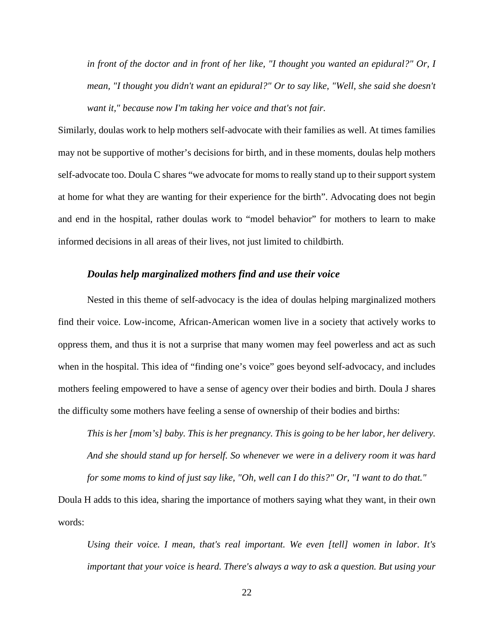*in front of the doctor and in front of her like, "I thought you wanted an epidural?" Or, I mean, "I thought you didn't want an epidural?" Or to say like, "Well, she said she doesn't want it," because now I'm taking her voice and that's not fair.* 

Similarly, doulas work to help mothers self-advocate with their families as well. At times families may not be supportive of mother's decisions for birth, and in these moments, doulas help mothers self-advocate too. Doula C shares "we advocate for moms to really stand up to their support system at home for what they are wanting for their experience for the birth". Advocating does not begin and end in the hospital, rather doulas work to "model behavior" for mothers to learn to make informed decisions in all areas of their lives, not just limited to childbirth.

### *Doulas help marginalized mothers find and use their voice*

Nested in this theme of self-advocacy is the idea of doulas helping marginalized mothers find their voice. Low-income, African-American women live in a society that actively works to oppress them, and thus it is not a surprise that many women may feel powerless and act as such when in the hospital. This idea of "finding one's voice" goes beyond self-advocacy, and includes mothers feeling empowered to have a sense of agency over their bodies and birth. Doula J shares the difficulty some mothers have feeling a sense of ownership of their bodies and births:

*This is her [mom's] baby. This is her pregnancy. This is going to be her labor, her delivery. And she should stand up for herself. So whenever we were in a delivery room it was hard* 

*for some moms to kind of just say like, "Oh, well can I do this?" Or, "I want to do that."*

Doula H adds to this idea, sharing the importance of mothers saying what they want, in their own words:

*Using their voice. I mean, that's real important. We even [tell] women in labor. It's important that your voice is heard. There's always a way to ask a question. But using your*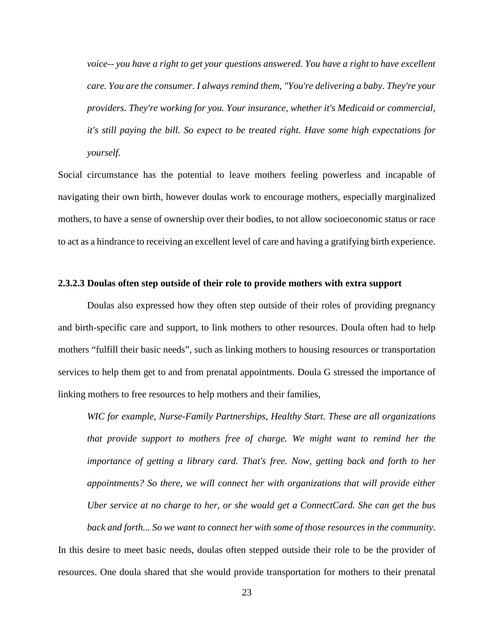*voice-- you have a right to get your questions answered. You have a right to have excellent care. You are the consumer. I always remind them, "You're delivering a baby. They're your providers. They're working for you. Your insurance, whether it's Medicaid or commercial, it's still paying the bill. So expect to be treated right. Have some high expectations for yourself.*

Social circumstance has the potential to leave mothers feeling powerless and incapable of navigating their own birth, however doulas work to encourage mothers, especially marginalized mothers, to have a sense of ownership over their bodies, to not allow socioeconomic status or race to act as a hindrance to receiving an excellent level of care and having a gratifying birth experience.

### <span id="page-31-0"></span>**2.3.2.3 Doulas often step outside of their role to provide mothers with extra support**

Doulas also expressed how they often step outside of their roles of providing pregnancy and birth-specific care and support, to link mothers to other resources. Doula often had to help mothers "fulfill their basic needs", such as linking mothers to housing resources or transportation services to help them get to and from prenatal appointments. Doula G stressed the importance of linking mothers to free resources to help mothers and their families,

*WIC for example, Nurse-Family Partnerships, Healthy Start. These are all organizations that provide support to mothers free of charge. We might want to remind her the importance of getting a library card. That's free. Now, getting back and forth to her appointments? So there, we will connect her with organizations that will provide either Uber service at no charge to her, or she would get a ConnectCard. She can get the bus back and forth... So we want to connect her with some of those resources in the community*.

In this desire to meet basic needs, doulas often stepped outside their role to be the provider of resources. One doula shared that she would provide transportation for mothers to their prenatal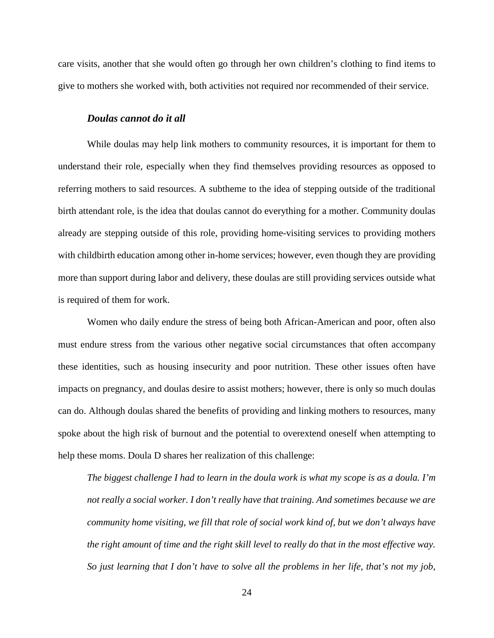care visits, another that she would often go through her own children's clothing to find items to give to mothers she worked with, both activities not required nor recommended of their service.

#### *Doulas cannot do it all*

While doulas may help link mothers to community resources, it is important for them to understand their role, especially when they find themselves providing resources as opposed to referring mothers to said resources. A subtheme to the idea of stepping outside of the traditional birth attendant role, is the idea that doulas cannot do everything for a mother. Community doulas already are stepping outside of this role, providing home-visiting services to providing mothers with childbirth education among other in-home services; however, even though they are providing more than support during labor and delivery, these doulas are still providing services outside what is required of them for work.

Women who daily endure the stress of being both African-American and poor, often also must endure stress from the various other negative social circumstances that often accompany these identities, such as housing insecurity and poor nutrition. These other issues often have impacts on pregnancy, and doulas desire to assist mothers; however, there is only so much doulas can do. Although doulas shared the benefits of providing and linking mothers to resources, many spoke about the high risk of burnout and the potential to overextend oneself when attempting to help these moms. Doula D shares her realization of this challenge:

*The biggest challenge I had to learn in the doula work is what my scope is as a doula. I'm not really a social worker. I don't really have that training. And sometimes because we are community home visiting, we fill that role of social work kind of, but we don't always have the right amount of time and the right skill level to really do that in the most effective way. So just learning that I don't have to solve all the problems in her life, that's not my job,*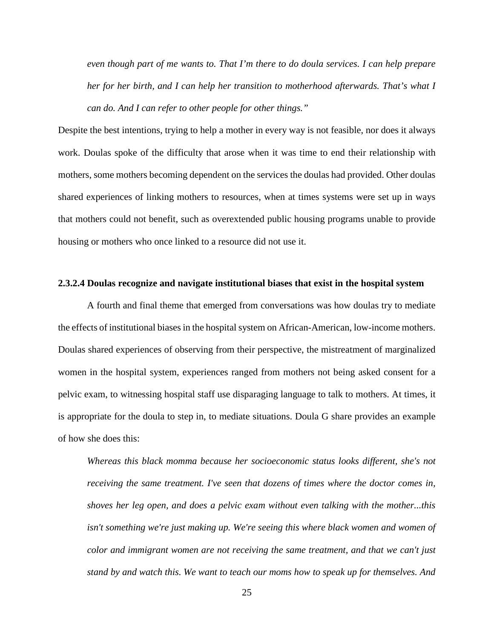*even though part of me wants to. That I'm there to do doula services. I can help prepare her for her birth, and I can help her transition to motherhood afterwards. That's what I can do. And I can refer to other people for other things."*

Despite the best intentions, trying to help a mother in every way is not feasible, nor does it always work. Doulas spoke of the difficulty that arose when it was time to end their relationship with mothers, some mothers becoming dependent on the services the doulas had provided. Other doulas shared experiences of linking mothers to resources, when at times systems were set up in ways that mothers could not benefit, such as overextended public housing programs unable to provide housing or mothers who once linked to a resource did not use it.

### <span id="page-33-0"></span>**2.3.2.4 Doulas recognize and navigate institutional biases that exist in the hospital system**

A fourth and final theme that emerged from conversations was how doulas try to mediate the effects of institutional biases in the hospital system on African-American, low-income mothers. Doulas shared experiences of observing from their perspective, the mistreatment of marginalized women in the hospital system, experiences ranged from mothers not being asked consent for a pelvic exam, to witnessing hospital staff use disparaging language to talk to mothers. At times, it is appropriate for the doula to step in, to mediate situations. Doula G share provides an example of how she does this:

*Whereas this black momma because her socioeconomic status looks different, she's not receiving the same treatment. I've seen that dozens of times where the doctor comes in, shoves her leg open, and does a pelvic exam without even talking with the mother...this*  isn't something we're just making up. We're seeing this where black women and women of *color and immigrant women are not receiving the same treatment, and that we can't just stand by and watch this. We want to teach our moms how to speak up for themselves. And*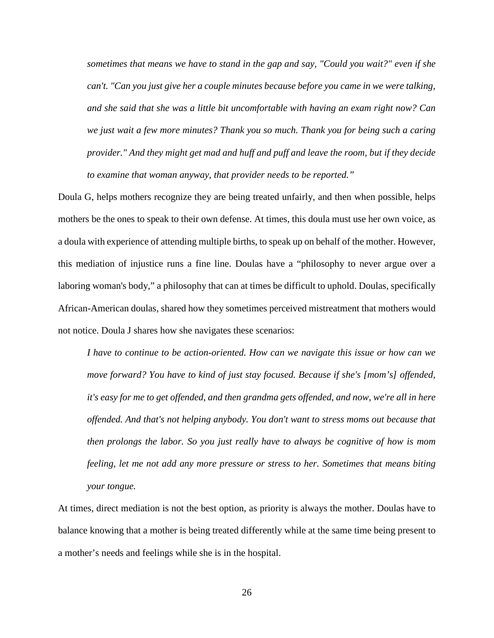*sometimes that means we have to stand in the gap and say, "Could you wait?" even if she can't. "Can you just give her a couple minutes because before you came in we were talking, and she said that she was a little bit uncomfortable with having an exam right now? Can we just wait a few more minutes? Thank you so much. Thank you for being such a caring provider." And they might get mad and huff and puff and leave the room, but if they decide to examine that woman anyway, that provider needs to be reported."* 

Doula G, helps mothers recognize they are being treated unfairly, and then when possible, helps mothers be the ones to speak to their own defense. At times, this doula must use her own voice, as a doula with experience of attending multiple births, to speak up on behalf of the mother. However, this mediation of injustice runs a fine line. Doulas have a "philosophy to never argue over a laboring woman's body," a philosophy that can at times be difficult to uphold. Doulas, specifically African-American doulas, shared how they sometimes perceived mistreatment that mothers would not notice. Doula J shares how she navigates these scenarios:

*I have to continue to be action-oriented. How can we navigate this issue or how can we move forward? You have to kind of just stay focused. Because if she's [mom's] offended,*  it's easy for me to get offended, and then grandma gets offended, and now, we're all in here *offended. And that's not helping anybody. You don't want to stress moms out because that then prolongs the labor. So you just really have to always be cognitive of how is mom feeling, let me not add any more pressure or stress to her. Sometimes that means biting your tongue.*

At times, direct mediation is not the best option, as priority is always the mother. Doulas have to balance knowing that a mother is being treated differently while at the same time being present to a mother's needs and feelings while she is in the hospital.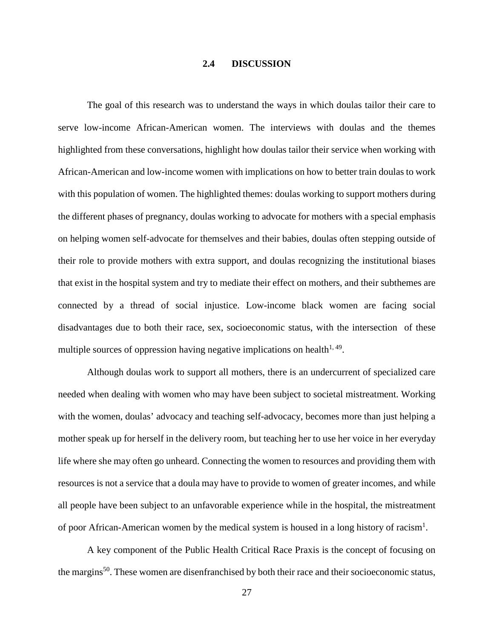### **2.4 DISCUSSION**

<span id="page-35-0"></span>The goal of this research was to understand the ways in which doulas tailor their care to serve low-income African-American women. The interviews with doulas and the themes highlighted from these conversations, highlight how doulas tailor their service when working with African-American and low-income women with implications on how to better train doulas to work with this population of women. The highlighted themes: doulas working to support mothers during the different phases of pregnancy, doulas working to advocate for mothers with a special emphasis on helping women self-advocate for themselves and their babies, doulas often stepping outside of their role to provide mothers with extra support, and doulas recognizing the institutional biases that exist in the hospital system and try to mediate their effect on mothers, and their subthemes are connected by a thread of social injustice. Low-income black women are facing social disadvantages due to both their race, sex, socioeconomic status, with the intersection of these multiple sources of oppression having negative implications on health<sup>[1,](#page-43-1) 49</sup>.

Although doulas work to support all mothers, there is an undercurrent of specialized care needed when dealing with women who may have been subject to societal mistreatment. Working with the women, doulas' advocacy and teaching self-advocacy, becomes more than just helping a mother speak up for herself in the delivery room, but teaching her to use her voice in her everyday life where she may often go unheard. Connecting the women to resources and providing them with resources is not a service that a doula may have to provide to women of greater incomes, and while all people have been subject to an unfavorable experience while in the hospital, the mistreatment of poor African-American women by the medical system is housed in a long history of racism<sup>[1](#page-43-1)</sup>.

A key component of the Public Health Critical Race Praxis is the concept of focusing on the margins<sup>50</sup>. These women are disenfranchised by both their race and their socioeconomic status,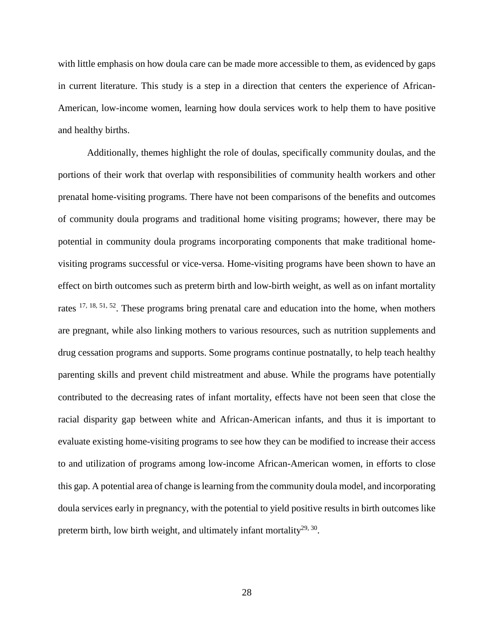with little emphasis on how doula care can be made more accessible to them, as evidenced by gaps in current literature. This study is a step in a direction that centers the experience of African-American, low-income women, learning how doula services work to help them to have positive and healthy births.

Additionally, themes highlight the role of doulas, specifically community doulas, and the portions of their work that overlap with responsibilities of community health workers and other prenatal home-visiting programs. There have not been comparisons of the benefits and outcomes of community doula programs and traditional home visiting programs; however, there may be potential in community doula programs incorporating components that make traditional homevisiting programs successful or vice-versa. Home-visiting programs have been shown to have an effect on birth outcomes such as preterm birth and low-birth weight, as well as on infant mortality rates [17,](#page-44-0) [18,](#page-44-1) [51,](#page-45-17) [52.](#page-45-18) These programs bring prenatal care and education into the home, when mothers are pregnant, while also linking mothers to various resources, such as nutrition supplements and drug cessation programs and supports. Some programs continue postnatally, to help teach healthy parenting skills and prevent child mistreatment and abuse. While the programs have potentially contributed to the decreasing rates of infant mortality, effects have not been seen that close the racial disparity gap between white and African-American infants, and thus it is important to evaluate existing home-visiting programs to see how they can be modified to increase their access to and utilization of programs among low-income African-American women, in efforts to close this gap. A potential area of change is learning from the community doula model, and incorporating doula services early in pregnancy, with the potential to yield positive results in birth outcomes like preterm birth, low birth weight, and ultimately infant mortality $^{29, 30}$ .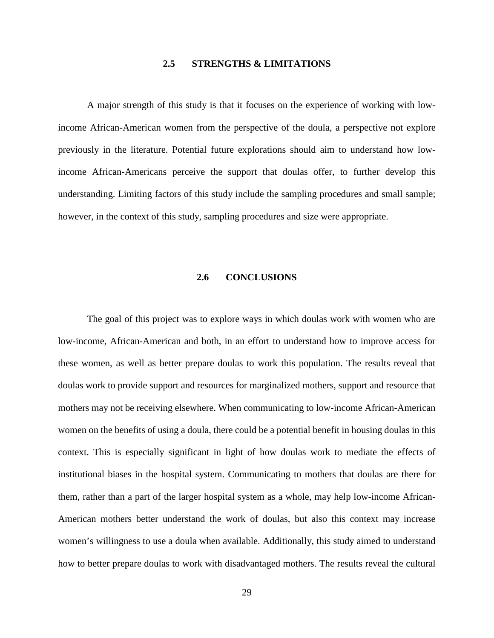### **2.5 STRENGTHS & LIMITATIONS**

<span id="page-37-0"></span>A major strength of this study is that it focuses on the experience of working with lowincome African-American women from the perspective of the doula, a perspective not explore previously in the literature. Potential future explorations should aim to understand how lowincome African-Americans perceive the support that doulas offer, to further develop this understanding. Limiting factors of this study include the sampling procedures and small sample; however, in the context of this study, sampling procedures and size were appropriate.

### **2.6 CONCLUSIONS**

<span id="page-37-1"></span>The goal of this project was to explore ways in which doulas work with women who are low-income, African-American and both, in an effort to understand how to improve access for these women, as well as better prepare doulas to work this population. The results reveal that doulas work to provide support and resources for marginalized mothers, support and resource that mothers may not be receiving elsewhere. When communicating to low-income African-American women on the benefits of using a doula, there could be a potential benefit in housing doulas in this context. This is especially significant in light of how doulas work to mediate the effects of institutional biases in the hospital system. Communicating to mothers that doulas are there for them, rather than a part of the larger hospital system as a whole, may help low-income African-American mothers better understand the work of doulas, but also this context may increase women's willingness to use a doula when available. Additionally, this study aimed to understand how to better prepare doulas to work with disadvantaged mothers. The results reveal the cultural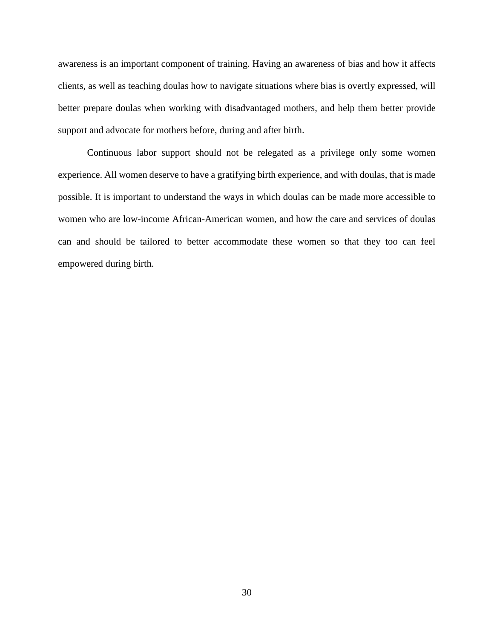awareness is an important component of training. Having an awareness of bias and how it affects clients, as well as teaching doulas how to navigate situations where bias is overtly expressed, will better prepare doulas when working with disadvantaged mothers, and help them better provide support and advocate for mothers before, during and after birth.

Continuous labor support should not be relegated as a privilege only some women experience. All women deserve to have a gratifying birth experience, and with doulas, that is made possible. It is important to understand the ways in which doulas can be made more accessible to women who are low-income African-American women, and how the care and services of doulas can and should be tailored to better accommodate these women so that they too can feel empowered during birth.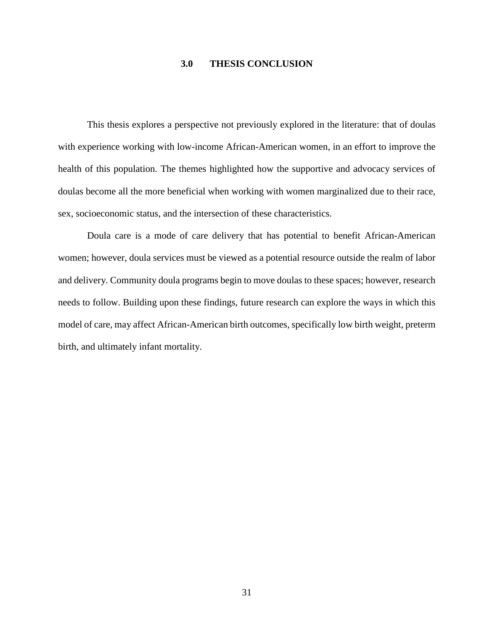### **3.0 THESIS CONCLUSION**

<span id="page-39-0"></span>This thesis explores a perspective not previously explored in the literature: that of doulas with experience working with low-income African-American women, in an effort to improve the health of this population. The themes highlighted how the supportive and advocacy services of doulas become all the more beneficial when working with women marginalized due to their race, sex, socioeconomic status, and the intersection of these characteristics.

Doula care is a mode of care delivery that has potential to benefit African-American women; however, doula services must be viewed as a potential resource outside the realm of labor and delivery. Community doula programs begin to move doulas to these spaces; however, research needs to follow. Building upon these findings, future research can explore the ways in which this model of care, may affect African-American birth outcomes, specifically low birth weight, preterm birth, and ultimately infant mortality.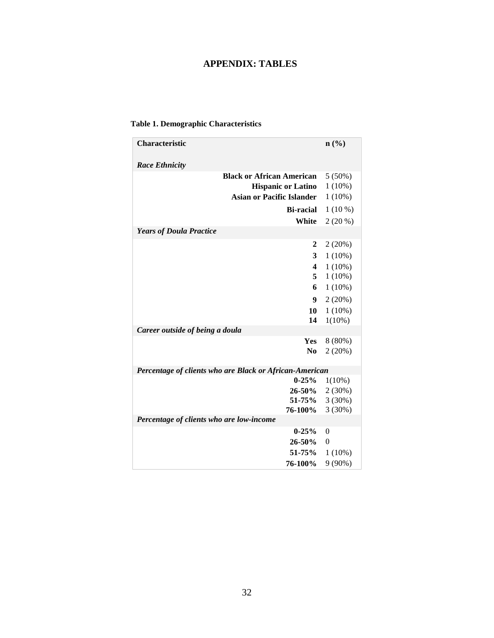# **APPENDIX: TABLES**

### <span id="page-40-1"></span><span id="page-40-0"></span>**Table 1. Demographic Characteristics**

| Characteristic                                          | n(%       |
|---------------------------------------------------------|-----------|
| <b>Race Ethnicity</b>                                   |           |
| <b>Black or African American</b>                        | $5(50\%)$ |
| <b>Hispanic or Latino</b>                               | $1(10\%)$ |
| <b>Asian or Pacific Islander</b>                        | $1(10\%)$ |
| <b>Bi-racial</b>                                        | $1(10\%)$ |
| White                                                   | $2(20\%)$ |
| <b>Years of Doula Practice</b>                          |           |
| 2                                                       | 2(20%)    |
| 3                                                       | $1(10\%)$ |
| $\overline{\mathbf{4}}$                                 | $1(10\%)$ |
| 5                                                       | $1(10\%)$ |
| 6                                                       | $1(10\%)$ |
| 9                                                       | 2(20%)    |
| 10                                                      | $1(10\%)$ |
| 14                                                      | $1(10\%)$ |
| Career outside of being a doula                         |           |
| <b>Yes</b>                                              | 8 (80%)   |
| N <sub>0</sub>                                          | 2(20%)    |
| Percentage of clients who are Black or African-American |           |
| $0 - 25\%$                                              | 1(10%)    |
| 26-50%                                                  | 2(30%)    |
| 51-75%                                                  | $3(30\%)$ |
| <b>76-100%</b>                                          | 3(30%)    |
| Percentage of clients who are low-income                |           |
| $0 - 25%$                                               | $\theta$  |
| $26 - 50%$                                              | $\theta$  |
| 51-75%                                                  | $1(10\%)$ |
| 76-100%                                                 | $9(90\%)$ |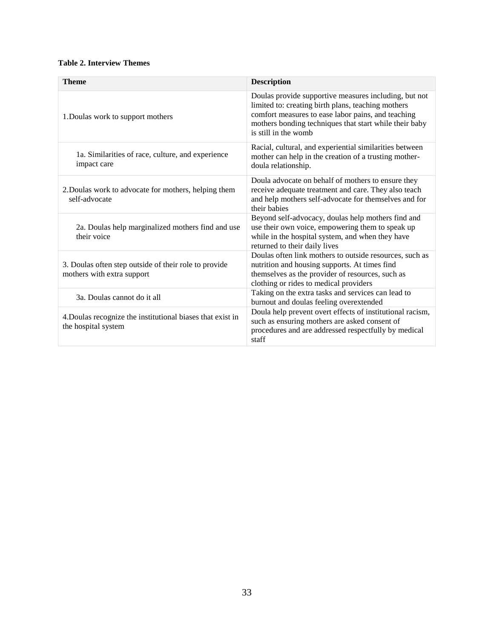### <span id="page-41-0"></span>**Table 2. Interview Themes**

| <b>Theme</b>                                                                        | <b>Description</b>                                                                                                                                                                                                                                  |
|-------------------------------------------------------------------------------------|-----------------------------------------------------------------------------------------------------------------------------------------------------------------------------------------------------------------------------------------------------|
| 1. Doulas work to support mothers                                                   | Doulas provide supportive measures including, but not<br>limited to: creating birth plans, teaching mothers<br>comfort measures to ease labor pains, and teaching<br>mothers bonding techniques that start while their baby<br>is still in the womb |
| 1a. Similarities of race, culture, and experience<br>impact care                    | Racial, cultural, and experiential similarities between<br>mother can help in the creation of a trusting mother-<br>doula relationship.                                                                                                             |
| 2. Doulas work to advocate for mothers, helping them<br>self-advocate               | Doula advocate on behalf of mothers to ensure they<br>receive adequate treatment and care. They also teach<br>and help mothers self-advocate for themselves and for<br>their babies                                                                 |
| 2a. Doulas help marginalized mothers find and use<br>their voice                    | Beyond self-advocacy, doulas help mothers find and<br>use their own voice, empowering them to speak up<br>while in the hospital system, and when they have<br>returned to their daily lives                                                         |
| 3. Doulas often step outside of their role to provide<br>mothers with extra support | Doulas often link mothers to outside resources, such as<br>nutrition and housing supports. At times find<br>themselves as the provider of resources, such as<br>clothing or rides to medical providers                                              |
| 3a. Doulas cannot do it all                                                         | Taking on the extra tasks and services can lead to<br>burnout and doulas feeling overextended                                                                                                                                                       |
| 4. Doulas recognize the institutional biases that exist in<br>the hospital system   | Doula help prevent overt effects of institutional racism,<br>such as ensuring mothers are asked consent of<br>procedures and are addressed respectfully by medical<br>staff                                                                         |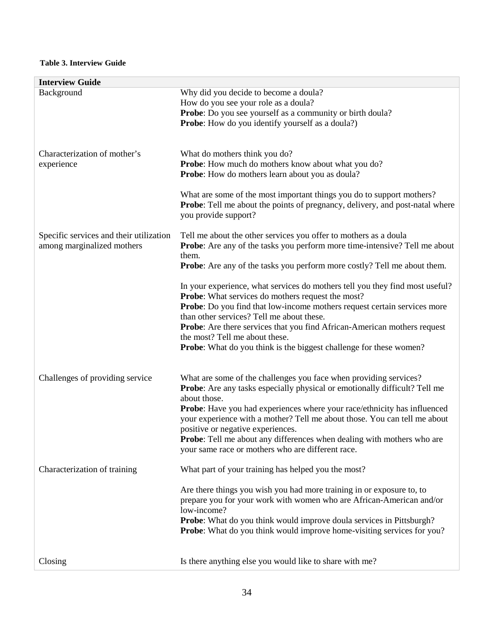<span id="page-42-0"></span>

| <b>Interview Guide</b>                                                |                                                                                                                                                                                                                                                                                                                                                                                                                                                                                                            |
|-----------------------------------------------------------------------|------------------------------------------------------------------------------------------------------------------------------------------------------------------------------------------------------------------------------------------------------------------------------------------------------------------------------------------------------------------------------------------------------------------------------------------------------------------------------------------------------------|
| Background                                                            | Why did you decide to become a doula?<br>How do you see your role as a doula?<br><b>Probe:</b> Do you see yourself as a community or birth doula?<br><b>Probe:</b> How do you identify yourself as a doula?)                                                                                                                                                                                                                                                                                               |
| Characterization of mother's<br>experience                            | What do mothers think you do?<br>Probe: How much do mothers know about what you do?<br><b>Probe:</b> How do mothers learn about you as doula?                                                                                                                                                                                                                                                                                                                                                              |
|                                                                       | What are some of the most important things you do to support mothers?<br><b>Probe:</b> Tell me about the points of pregnancy, delivery, and post-natal where<br>you provide support?                                                                                                                                                                                                                                                                                                                       |
| Specific services and their utilization<br>among marginalized mothers | Tell me about the other services you offer to mothers as a doula<br><b>Probe:</b> Are any of the tasks you perform more time-intensive? Tell me about<br>them.<br><b>Probe:</b> Are any of the tasks you perform more costly? Tell me about them.                                                                                                                                                                                                                                                          |
|                                                                       | In your experience, what services do mothers tell you they find most useful?<br><b>Probe:</b> What services do mothers request the most?<br>Probe: Do you find that low-income mothers request certain services more<br>than other services? Tell me about these.<br><b>Probe:</b> Are there services that you find African-American mothers request<br>the most? Tell me about these.<br><b>Probe:</b> What do you think is the biggest challenge for these women?                                        |
| Challenges of providing service                                       | What are some of the challenges you face when providing services?<br><b>Probe:</b> Are any tasks especially physical or emotionally difficult? Tell me<br>about those.<br>Probe: Have you had experiences where your race/ethnicity has influenced<br>your experience with a mother? Tell me about those. You can tell me about<br>positive or negative experiences.<br><b>Probe:</b> Tell me about any differences when dealing with mothers who are<br>your same race or mothers who are different race. |
| Characterization of training                                          | What part of your training has helped you the most?<br>Are there things you wish you had more training in or exposure to, to<br>prepare you for your work with women who are African-American and/or<br>low-income?<br>Probe: What do you think would improve doula services in Pittsburgh?<br>Probe: What do you think would improve home-visiting services for you?                                                                                                                                      |
| Closing                                                               | Is there anything else you would like to share with me?                                                                                                                                                                                                                                                                                                                                                                                                                                                    |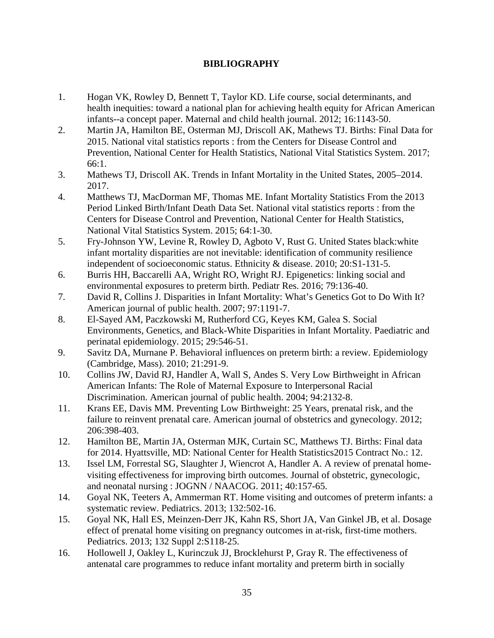### <span id="page-43-0"></span>**BIBLIOGRAPHY**

- <span id="page-43-1"></span>1. Hogan VK, Rowley D, Bennett T, Taylor KD. Life course, social determinants, and health inequities: toward a national plan for achieving health equity for African American infants--a concept paper. Maternal and child health journal. 2012; 16:1143-50.
- <span id="page-43-2"></span>2. Martin JA, Hamilton BE, Osterman MJ, Driscoll AK, Mathews TJ. Births: Final Data for 2015. National vital statistics reports : from the Centers for Disease Control and Prevention, National Center for Health Statistics, National Vital Statistics System. 2017; 66:1.
- <span id="page-43-3"></span>3. Mathews TJ, Driscoll AK. Trends in Infant Mortality in the United States, 2005–2014. 2017.
- 4. Matthews TJ, MacDorman MF, Thomas ME. Infant Mortality Statistics From the 2013 Period Linked Birth/Infant Death Data Set. National vital statistics reports : from the Centers for Disease Control and Prevention, National Center for Health Statistics, National Vital Statistics System. 2015; 64:1-30.
- <span id="page-43-10"></span>5. Fry-Johnson YW, Levine R, Rowley D, Agboto V, Rust G. United States black:white infant mortality disparities are not inevitable: identification of community resilience independent of socioeconomic status. Ethnicity & disease. 2010; 20:S1-131-5.
- <span id="page-43-4"></span>6. Burris HH, Baccarelli AA, Wright RO, Wright RJ. Epigenetics: linking social and environmental exposures to preterm birth. Pediatr Res. 2016; 79:136-40.
- <span id="page-43-5"></span>7. David R, Collins J. Disparities in Infant Mortality: What's Genetics Got to Do With It? American journal of public health. 2007; 97:1191-7.
- <span id="page-43-6"></span>8. El-Sayed AM, Paczkowski M, Rutherford CG, Keyes KM, Galea S. Social Environments, Genetics, and Black-White Disparities in Infant Mortality. Paediatric and perinatal epidemiology. 2015; 29:546-51.
- <span id="page-43-7"></span>9. Savitz DA, Murnane P. Behavioral influences on preterm birth: a review. Epidemiology (Cambridge, Mass). 2010; 21:291-9.
- <span id="page-43-8"></span>10. Collins JW, David RJ, Handler A, Wall S, Andes S. Very Low Birthweight in African American Infants: The Role of Maternal Exposure to Interpersonal Racial Discrimination. American journal of public health. 2004; 94:2132-8.
- <span id="page-43-9"></span>11. Krans EE, Davis MM. Preventing Low Birthweight: 25 Years, prenatal risk, and the failure to reinvent prenatal care. American journal of obstetrics and gynecology. 2012; 206:398-403.
- <span id="page-43-11"></span>12. Hamilton BE, Martin JA, Osterman MJK, Curtain SC, Matthews TJ. Births: Final data for 2014. Hyattsville, MD: National Center for Health Statistics2015 Contract No.: 12.
- <span id="page-43-12"></span>13. Issel LM, Forrestal SG, Slaughter J, Wiencrot A, Handler A. A review of prenatal homevisiting effectiveness for improving birth outcomes. Journal of obstetric, gynecologic, and neonatal nursing : JOGNN / NAACOG. 2011; 40:157-65.
- <span id="page-43-13"></span>14. Goyal NK, Teeters A, Ammerman RT. Home visiting and outcomes of preterm infants: a systematic review. Pediatrics. 2013; 132:502-16.
- <span id="page-43-14"></span>15. Goyal NK, Hall ES, Meinzen-Derr JK, Kahn RS, Short JA, Van Ginkel JB, et al. Dosage effect of prenatal home visiting on pregnancy outcomes in at-risk, first-time mothers. Pediatrics. 2013; 132 Suppl 2:S118-25.
- <span id="page-43-15"></span>16. Hollowell J, Oakley L, Kurinczuk JJ, Brocklehurst P, Gray R. The effectiveness of antenatal care programmes to reduce infant mortality and preterm birth in socially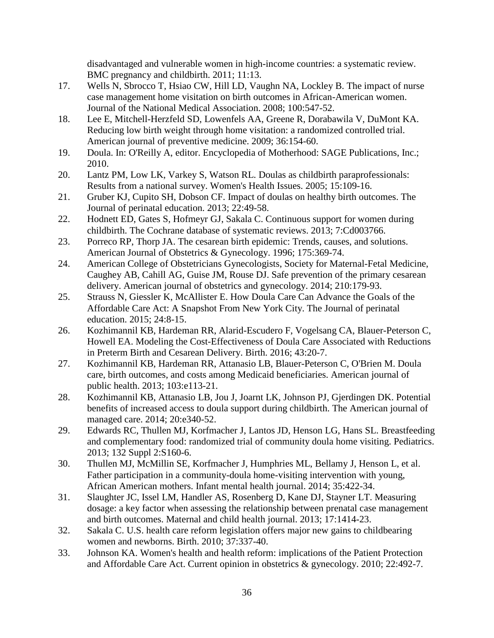disadvantaged and vulnerable women in high-income countries: a systematic review. BMC pregnancy and childbirth. 2011; 11:13.

- <span id="page-44-0"></span>17. Wells N, Sbrocco T, Hsiao CW, Hill LD, Vaughn NA, Lockley B. The impact of nurse case management home visitation on birth outcomes in African-American women. Journal of the National Medical Association. 2008; 100:547-52.
- <span id="page-44-1"></span>18. Lee E, Mitchell-Herzfeld SD, Lowenfels AA, Greene R, Dorabawila V, DuMont KA. Reducing low birth weight through home visitation: a randomized controlled trial. American journal of preventive medicine. 2009; 36:154-60.
- <span id="page-44-2"></span>19. Doula. In: O'Reilly A, editor. Encyclopedia of Motherhood: SAGE Publications, Inc.; 2010.
- <span id="page-44-3"></span>20. Lantz PM, Low LK, Varkey S, Watson RL. Doulas as childbirth paraprofessionals: Results from a national survey. Women's Health Issues. 2005; 15:109-16.
- <span id="page-44-4"></span>21. Gruber KJ, Cupito SH, Dobson CF. Impact of doulas on healthy birth outcomes. The Journal of perinatal education. 2013; 22:49-58.
- <span id="page-44-5"></span>22. Hodnett ED, Gates S, Hofmeyr GJ, Sakala C. Continuous support for women during childbirth. The Cochrane database of systematic reviews. 2013; 7:Cd003766.
- <span id="page-44-6"></span>23. Porreco RP, Thorp JA. The cesarean birth epidemic: Trends, causes, and solutions. American Journal of Obstetrics & Gynecology. 1996; 175:369-74.
- 24. American College of Obstetricians Gynecologists, Society for Maternal-Fetal Medicine, Caughey AB, Cahill AG, Guise JM, Rouse DJ. Safe prevention of the primary cesarean delivery. American journal of obstetrics and gynecology. 2014; 210:179-93.
- <span id="page-44-9"></span>25. Strauss N, Giessler K, McAllister E. How Doula Care Can Advance the Goals of the Affordable Care Act: A Snapshot From New York City. The Journal of perinatal education. 2015; 24:8-15.
- <span id="page-44-7"></span>26. Kozhimannil KB, Hardeman RR, Alarid-Escudero F, Vogelsang CA, Blauer-Peterson C, Howell EA. Modeling the Cost-Effectiveness of Doula Care Associated with Reductions in Preterm Birth and Cesarean Delivery. Birth. 2016; 43:20-7.
- <span id="page-44-8"></span>27. Kozhimannil KB, Hardeman RR, Attanasio LB, Blauer-Peterson C, O'Brien M. Doula care, birth outcomes, and costs among Medicaid beneficiaries. American journal of public health. 2013; 103:e113-21.
- <span id="page-44-15"></span>28. Kozhimannil KB, Attanasio LB, Jou J, Joarnt LK, Johnson PJ, Gjerdingen DK. Potential benefits of increased access to doula support during childbirth. The American journal of managed care. 2014; 20:e340-52.
- <span id="page-44-10"></span>29. Edwards RC, Thullen MJ, Korfmacher J, Lantos JD, Henson LG, Hans SL. Breastfeeding and complementary food: randomized trial of community doula home visiting. Pediatrics. 2013; 132 Suppl 2:S160-6.
- <span id="page-44-11"></span>30. Thullen MJ, McMillin SE, Korfmacher J, Humphries ML, Bellamy J, Henson L, et al. Father participation in a community-doula home-visiting intervention with young, African American mothers. Infant mental health journal. 2014; 35:422-34.
- <span id="page-44-12"></span>31. Slaughter JC, Issel LM, Handler AS, Rosenberg D, Kane DJ, Stayner LT. Measuring dosage: a key factor when assessing the relationship between prenatal case management and birth outcomes. Maternal and child health journal. 2013; 17:1414-23.
- <span id="page-44-13"></span>32. Sakala C. U.S. health care reform legislation offers major new gains to childbearing women and newborns. Birth. 2010; 37:337-40.
- <span id="page-44-14"></span>33. Johnson KA. Women's health and health reform: implications of the Patient Protection and Affordable Care Act. Current opinion in obstetrics & gynecology. 2010; 22:492-7.